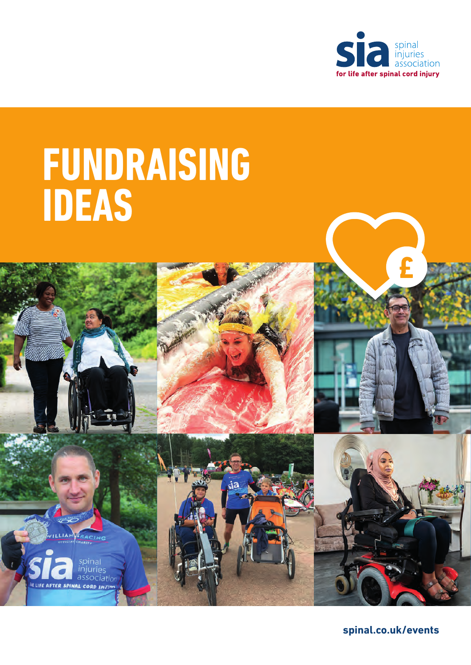

# **FUNDRAISING IDEAS**

spinal<br>injuries associatio

R LIFE AFTER SPINAL CORD INJ